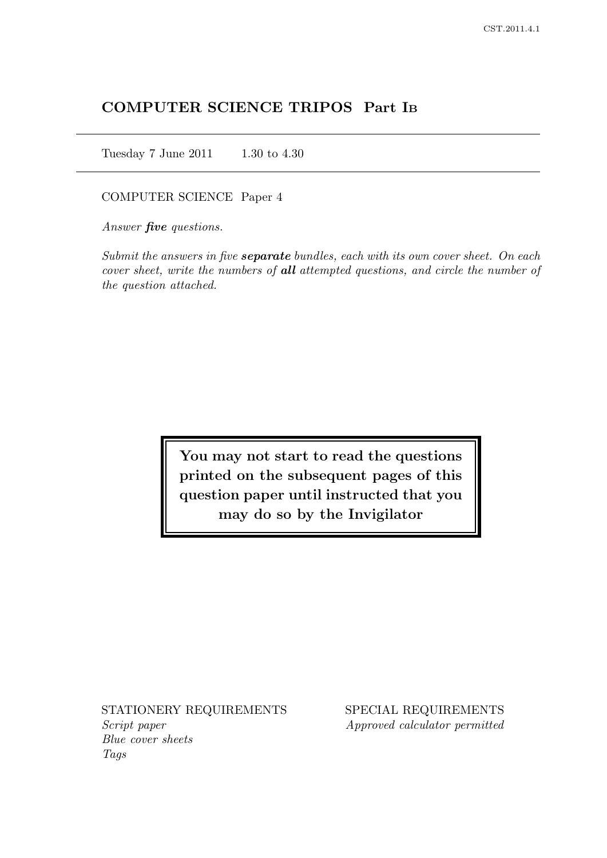# COMPUTER SCIENCE TRIPOS Part I<sup>B</sup>

Tuesday 7 June 2011 1.30 to 4.30

## COMPUTER SCIENCE Paper 4

Answer **five** questions.

Submit the answers in five **separate** bundles, each with its own cover sheet. On each cover sheet, write the numbers of all attempted questions, and circle the number of the question attached.

> You may not start to read the questions printed on the subsequent pages of this question paper until instructed that you may do so by the Invigilator

Script paper Approved calculator permitted Blue cover sheets Tags

STATIONERY REQUIREMENTS SPECIAL REQUIREMENTS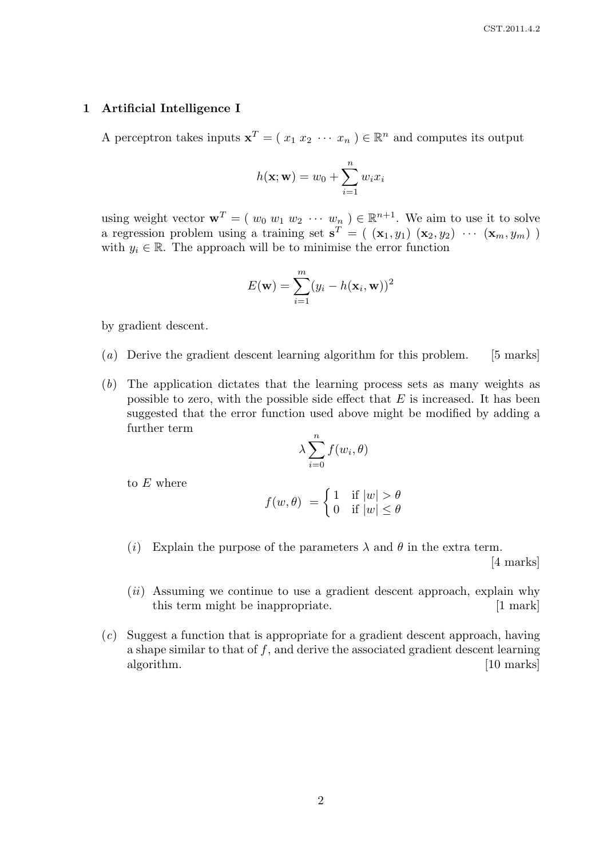## 1 Artificial Intelligence I

A perceptron takes inputs  $\mathbf{x}^T = (x_1 x_2 \cdots x_n) \in \mathbb{R}^n$  and computes its output

$$
h(\mathbf{x}; \mathbf{w}) = w_0 + \sum_{i=1}^{n} w_i x_i
$$

using weight vector  $\mathbf{w}^T = (w_0 w_1 w_2 \cdots w_n) \in \mathbb{R}^{n+1}$ . We aim to use it to solve a regression problem using a training set  $\mathbf{s}^T = (x_1, y_1) (x_2, y_2) \cdots (x_m, y_m)$ with  $y_i \in \mathbb{R}$ . The approach will be to minimise the error function

$$
E(\mathbf{w}) = \sum_{i=1}^{m} (y_i - h(\mathbf{x}_i, \mathbf{w}))^2
$$

by gradient descent.

- (a) Derive the gradient descent learning algorithm for this problem. [5 marks]
- (b) The application dictates that the learning process sets as many weights as possible to zero, with the possible side effect that  $E$  is increased. It has been suggested that the error function used above might be modified by adding a further term

$$
\lambda \sum_{i=0}^{n} f(w_i, \theta)
$$

to E where

$$
f(w, \theta) = \begin{cases} 1 & \text{if } |w| > \theta \\ 0 & \text{if } |w| \le \theta \end{cases}
$$

(i) Explain the purpose of the parameters  $\lambda$  and  $\theta$  in the extra term.

[4 marks]

- $(ii)$  Assuming we continue to use a gradient descent approach, explain why this term might be inappropriate. [1 mark]
- (c) Suggest a function that is appropriate for a gradient descent approach, having a shape similar to that of  $f$ , and derive the associated gradient descent learning algorithm. [10 marks]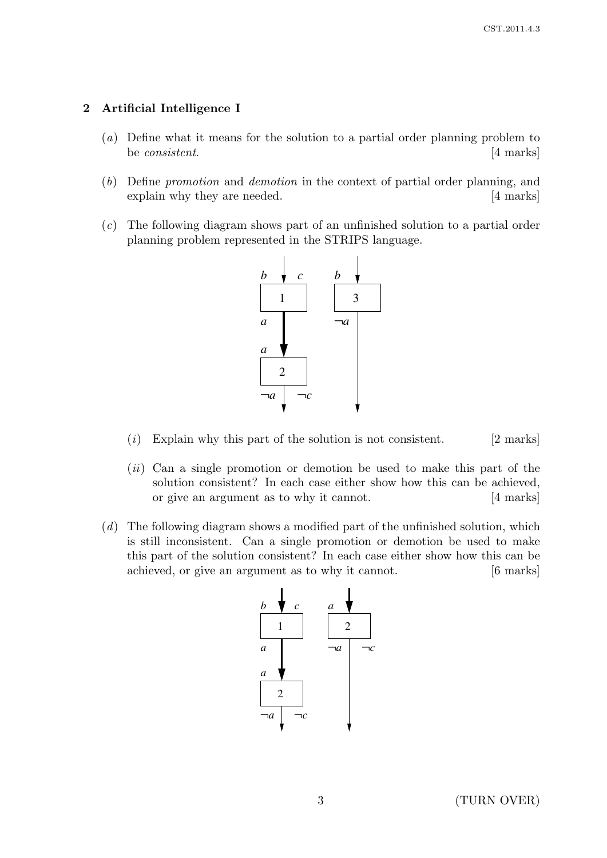## 2 Artificial Intelligence I

- (a) Define what it means for the solution to a partial order planning problem to be *consistent*. [4 marks]
- (b) Define promotion and demotion in the context of partial order planning, and explain why they are needed. [4 marks]
- (c) The following diagram shows part of an unfinished solution to a partial order planning problem represented in the STRIPS language.



- (i) Explain why this part of the solution is not consistent.  $[2 \text{ marks}]$
- $(ii)$  Can a single promotion or demotion be used to make this part of the solution consistent? In each case either show how this can be achieved, or give an argument as to why it cannot. [4 marks]
- $(d)$  The following diagram shows a modified part of the unfinished solution, which is still inconsistent. Can a single promotion or demotion be used to make this part of the solution consistent? In each case either show how this can be achieved, or give an argument as to why it cannot. [6 marks]



3 (TURN OVER)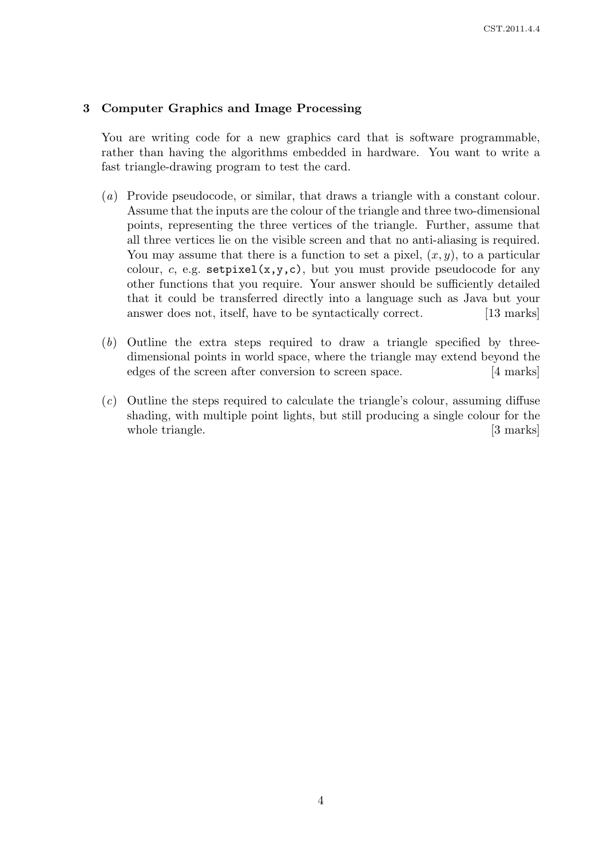## 3 Computer Graphics and Image Processing

You are writing code for a new graphics card that is software programmable, rather than having the algorithms embedded in hardware. You want to write a fast triangle-drawing program to test the card.

- (a) Provide pseudocode, or similar, that draws a triangle with a constant colour. Assume that the inputs are the colour of the triangle and three two-dimensional points, representing the three vertices of the triangle. Further, assume that all three vertices lie on the visible screen and that no anti-aliasing is required. You may assume that there is a function to set a pixel,  $(x, y)$ , to a particular colour, c, e.g.  $\texttt{setpixel}(x,y,c)$ , but you must provide pseudocode for any other functions that you require. Your answer should be sufficiently detailed that it could be transferred directly into a language such as Java but your answer does not, itself, have to be syntactically correct. [13 marks]
- (b) Outline the extra steps required to draw a triangle specified by threedimensional points in world space, where the triangle may extend beyond the edges of the screen after conversion to screen space. [4 marks]
- (c) Outline the steps required to calculate the triangle's colour, assuming diffuse shading, with multiple point lights, but still producing a single colour for the whole triangle. [3 marks]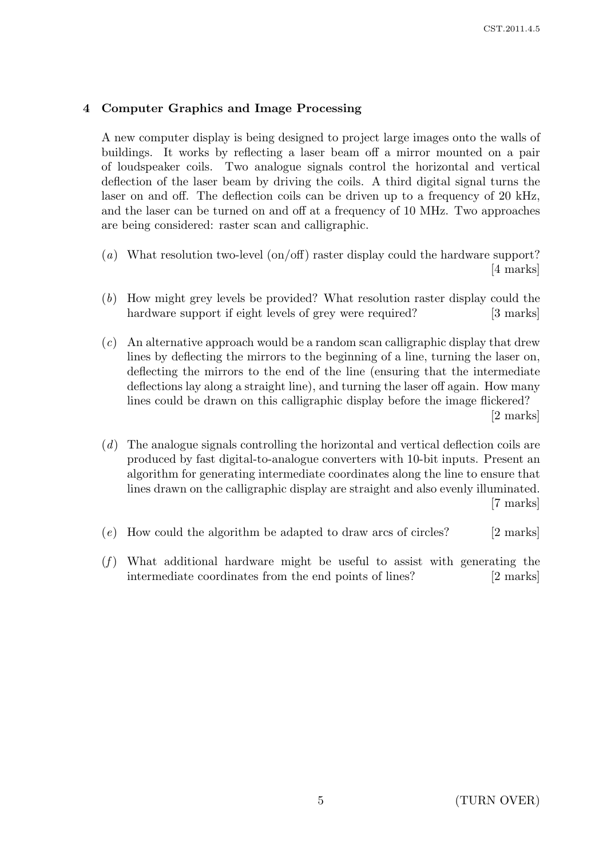## 4 Computer Graphics and Image Processing

A new computer display is being designed to project large images onto the walls of buildings. It works by reflecting a laser beam off a mirror mounted on a pair of loudspeaker coils. Two analogue signals control the horizontal and vertical deflection of the laser beam by driving the coils. A third digital signal turns the laser on and off. The deflection coils can be driven up to a frequency of 20 kHz, and the laser can be turned on and off at a frequency of 10 MHz. Two approaches are being considered: raster scan and calligraphic.

- (a) What resolution two-level (on/off) raster display could the hardware support? [4 marks]
- (b) How might grey levels be provided? What resolution raster display could the hardware support if eight levels of grey were required? [3 marks]
- (c) An alternative approach would be a random scan calligraphic display that drew lines by deflecting the mirrors to the beginning of a line, turning the laser on, deflecting the mirrors to the end of the line (ensuring that the intermediate deflections lay along a straight line), and turning the laser off again. How many lines could be drawn on this calligraphic display before the image flickered? [2 marks]
- (d) The analogue signals controlling the horizontal and vertical deflection coils are produced by fast digital-to-analogue converters with 10-bit inputs. Present an algorithm for generating intermediate coordinates along the line to ensure that lines drawn on the calligraphic display are straight and also evenly illuminated. [7 marks]
- (e) How could the algorithm be adapted to draw arcs of circles? [2 marks]
- $(f)$  What additional hardware might be useful to assist with generating the intermediate coordinates from the end points of lines? [2 marks]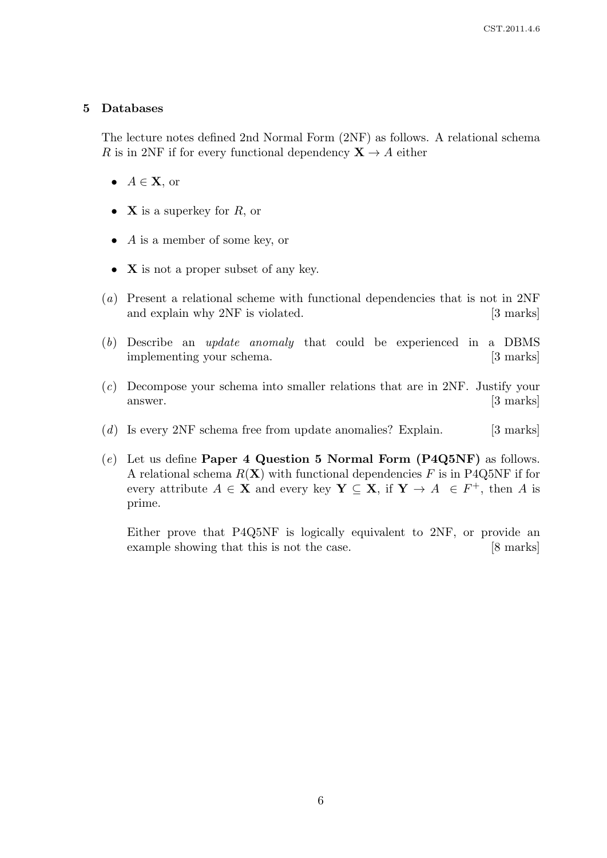#### 5 Databases

The lecture notes defined 2nd Normal Form (2NF) as follows. A relational schema R is in 2NF if for every functional dependency  $X \rightarrow A$  either

- $A \in \mathbf{X}$ , or
- **X** is a superkey for  $R$ , or
- $\bullet$  *A* is a member of some key, or
- **X** is not a proper subset of any key.
- (a) Present a relational scheme with functional dependencies that is not in 2NF and explain why 2NF is violated. [3 marks]
- (b) Describe an update anomaly that could be experienced in a DBMS implementing your schema. [3 marks]
- (c) Decompose your schema into smaller relations that are in 2NF. Justify your answer. [3 marks]
- $(d)$  Is every 2NF schema free from update anomalies? Explain. [3 marks]
- $(e)$  Let us define **Paper 4 Question 5 Normal Form (P4Q5NF)** as follows. A relational schema  $R(X)$  with functional dependencies F is in P4Q5NF if for every attribute  $A \in \mathbf{X}$  and every key  $\mathbf{Y} \subseteq \mathbf{X}$ , if  $\mathbf{Y} \to A \in F^+$ , then A is prime.

Either prove that P4Q5NF is logically equivalent to 2NF, or provide an example showing that this is not the case. [8 marks]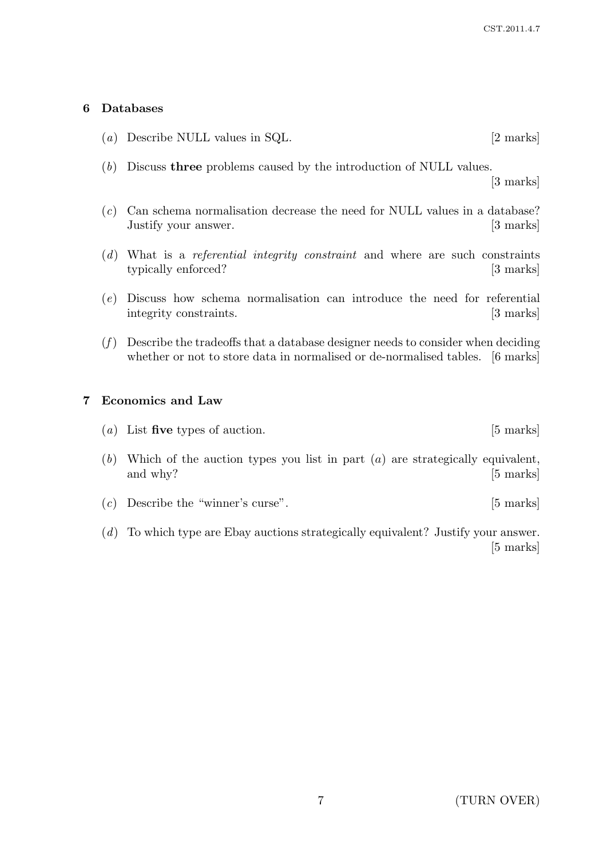## 6 Databases

- (a) Describe NULL values in SQL. [2 marks]
- (b) Discuss three problems caused by the introduction of NULL values.

[3 marks]

- (c) Can schema normalisation decrease the need for NULL values in a database? Justify your answer. [3] marks]
- (d) What is a referential integrity constraint and where are such constraints typically enforced? [3 marks]
- (e) Discuss how schema normalisation can introduce the need for referential integrity constraints. [3 marks]
- $(f)$  Describe the tradeoffs that a database designer needs to consider when deciding whether or not to store data in normalised or de-normalised tables. [6 marks]

## 7 Economics and Law

- (*a*) List five types of auction. [5 marks]
- (b) Which of the auction types you list in part  $(a)$  are strategically equivalent, and why? [5 marks]
- (c) Describe the "winner's curse". [5 marks]
- (d) To which type are Ebay auctions strategically equivalent? Justify your answer. [5 marks]